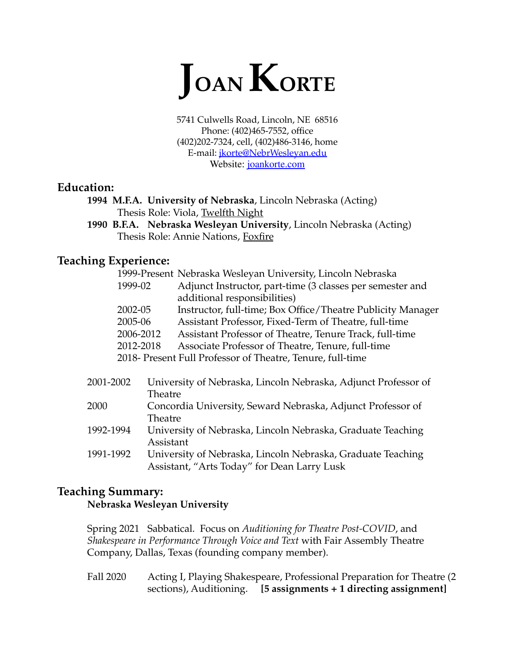

5741 Culwells Road, Lincoln, NE 68516 Phone: (402)465-7552, office (402)202-7324, cell, (402)486-3146, home E-mail: [jkorte@NebrWesleyan.edu](mailto:jkorte@NebrWesleyan.edu) Website: [joankorte.com](https://elleluthompson.wixsite.com/joankorte)

# **Education:**

**1994 M.F.A. University of Nebraska**, Lincoln Nebraska (Acting) Thesis Role: Viola, Twelfth Night

**1990 B.F.A. Nebraska Wesleyan University**, Lincoln Nebraska (Acting) Thesis Role: Annie Nations, Foxfire

## **Teaching Experience:**

|           |           | 1999-Present Nebraska Wesleyan University, Lincoln Nebraska    |
|-----------|-----------|----------------------------------------------------------------|
|           | 1999-02   | Adjunct Instructor, part-time (3 classes per semester and      |
|           |           | additional responsibilities)                                   |
|           | 2002-05   | Instructor, full-time; Box Office/Theatre Publicity Manager    |
|           | 2005-06   | Assistant Professor, Fixed-Term of Theatre, full-time          |
|           | 2006-2012 | Assistant Professor of Theatre, Tenure Track, full-time        |
|           | 2012-2018 | Associate Professor of Theatre, Tenure, full-time              |
|           |           | 2018- Present Full Professor of Theatre, Tenure, full-time     |
|           |           |                                                                |
| 2001-2002 |           | University of Nebraska, Lincoln Nebraska, Adjunct Professor of |
|           | Theatre   |                                                                |
| 2000      |           | Concordia University, Seward Nebraska, Adjunct Professor of    |
|           | Theatre   |                                                                |
| 1992-1994 |           | University of Nebraska, Lincoln Nebraska, Graduate Teaching    |
|           | Assistant |                                                                |
| 1991-1992 |           | University of Nebraska, Lincoln Nebraska, Graduate Teaching    |
|           |           | Assistant, "Arts Today" for Dean Larry Lusk                    |

# **Teaching Summary: Nebraska Wesleyan University**

Spring 2021 Sabbatical. Focus on *Auditioning for Theatre Post-COVID*, and *Shakespeare in Performance Through Voice and Text* with Fair Assembly Theatre Company, Dallas, Texas (founding company member).

Fall 2020 Acting I, Playing Shakespeare, Professional Preparation for Theatre (2 sections), Auditioning. **[5 assignments + 1 directing assignment]**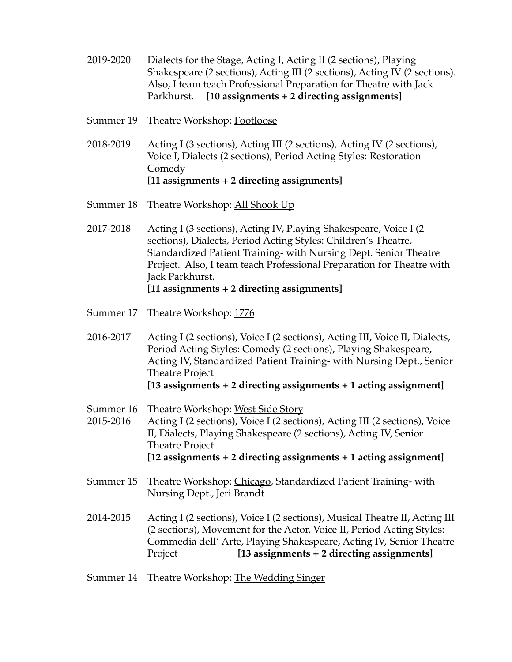- 2019-2020 Dialects for the Stage, Acting I, Acting II (2 sections), Playing Shakespeare (2 sections), Acting III (2 sections), Acting IV (2 sections). Also, I team teach Professional Preparation for Theatre with Jack Parkhurst. **[10 assignments + 2 directing assignments]**
- Summer 19 Theatre Workshop: Footloose
- 2018-2019 Acting I (3 sections), Acting III (2 sections), Acting IV (2 sections), Voice I, Dialects (2 sections), Period Acting Styles: Restoration Comedy **[11 assignments + 2 directing assignments]**
- Summer 18 Theatre Workshop: All Shook Up
- 2017-2018 Acting I (3 sections), Acting IV, Playing Shakespeare, Voice I (2 sections), Dialects, Period Acting Styles: Children's Theatre, Standardized Patient Training- with Nursing Dept. Senior Theatre Project. Also, I team teach Professional Preparation for Theatre with Jack Parkhurst. **[11 assignments + 2 directing assignments]**
- Summer 17 Theatre Workshop: 1776
- 2016-2017 Acting I (2 sections), Voice I (2 sections), Acting III, Voice II, Dialects, Period Acting Styles: Comedy (2 sections), Playing Shakespeare, Acting IV, Standardized Patient Training- with Nursing Dept., Senior Theatre Project **[13 assignments + 2 directing assignments + 1 acting assignment]**
- Summer 16 Theatre Workshop: West Side Story
- 2015-2016 Acting I (2 sections), Voice I (2 sections), Acting III (2 sections), Voice II, Dialects, Playing Shakespeare (2 sections), Acting IV, Senior Theatre Project **[12 assignments + 2 directing assignments + 1 acting assignment]**
- Summer 15 Theatre Workshop: Chicago, Standardized Patient Training- with Nursing Dept., Jeri Brandt
- 2014-2015 Acting I (2 sections), Voice I (2 sections), Musical Theatre II, Acting III (2 sections), Movement for the Actor, Voice II, Period Acting Styles: Commedia dell' Arte, Playing Shakespeare, Acting IV, Senior Theatre Project **[13 assignments + 2 directing assignments]**
- Summer 14 Theatre Workshop: The Wedding Singer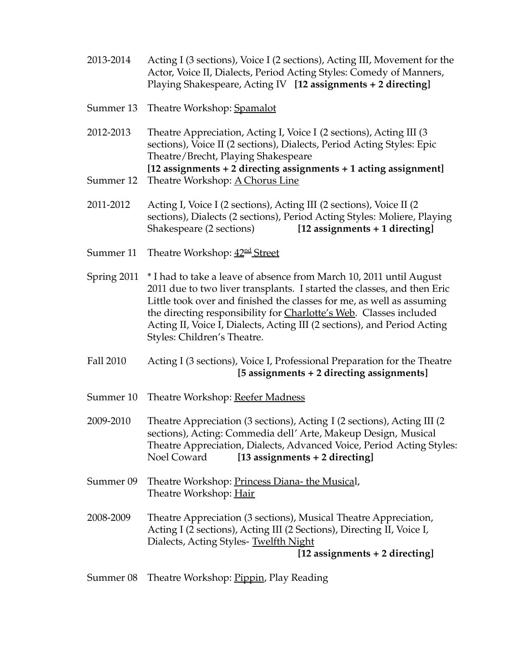- 2013-2014 Acting I (3 sections), Voice I (2 sections), Acting III, Movement for the Actor, Voice II, Dialects, Period Acting Styles: Comedy of Manners, Playing Shakespeare, Acting IV **[12 assignments + 2 directing]**
- Summer 13 Theatre Workshop: Spamalot
- 2012-2013 Theatre Appreciation, Acting I, Voice I (2 sections), Acting III (3 sections), Voice II (2 sections), Dialects, Period Acting Styles: Epic Theatre/Brecht, Playing Shakespeare **[12 assignments + 2 directing assignments + 1 acting assignment]** Summer 12 Theatre Workshop: A Chorus Line
- 2011-2012 Acting I, Voice I (2 sections), Acting III (2 sections), Voice II (2 sections), Dialects (2 sections), Period Acting Styles: Moliere, Playing Shakespeare (2 sections) **[12 assignments + 1 directing]**
- Summer 11 Theatre Workshop: <u>42<sup>nd</sup> Street</u>
- Spring 2011 \* I had to take a leave of absence from March 10, 2011 until August 2011 due to two liver transplants. I started the classes, and then Eric Little took over and finished the classes for me, as well as assuming the directing responsibility for Charlotte's Web. Classes included Acting II, Voice I, Dialects, Acting III (2 sections), and Period Acting Styles: Children's Theatre.
- Fall 2010 Acting I (3 sections), Voice I, Professional Preparation for the Theatre **[5 assignments + 2 directing assignments]**
- Summer 10 Theatre Workshop: Reefer Madness
- 2009-2010 Theatre Appreciation (3 sections), Acting I (2 sections), Acting III (2 sections), Acting: Commedia dell' Arte, Makeup Design, Musical Theatre Appreciation, Dialects, Advanced Voice, Period Acting Styles: Noel Coward **[13 assignments + 2 directing]**
- Summer 09 Theatre Workshop: Princess Diana- the Musical, Theatre Workshop: Hair
- 2008-2009 Theatre Appreciation (3 sections), Musical Theatre Appreciation, Acting I (2 sections), Acting III (2 Sections), Directing II, Voice I, Dialects, Acting Styles- Twelfth Night

**[12 assignments + 2 directing]**

Summer 08 Theatre Workshop: <u>Pippin</u>, Play Reading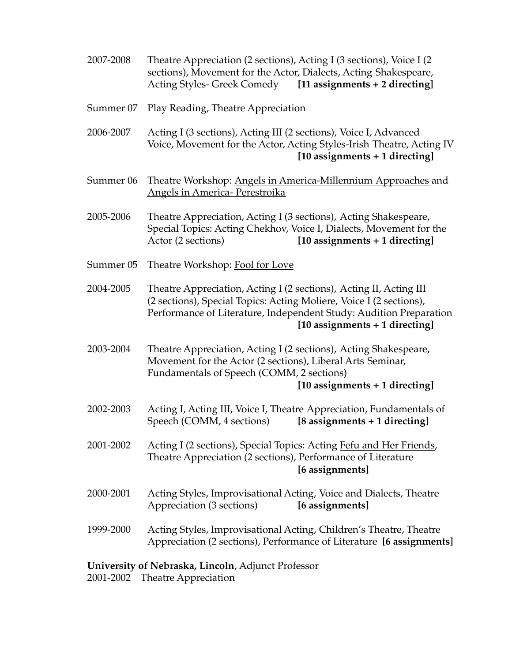- 2007-2008 Theatre Appreciation (2 sections), Acting I (3 sections), Voice I (2 sections), Movement for the Actor, Dialects, Acting Shakespeare, Acting Styles- Greek Comedy **[11 assignments + 2 directing]**
- Summer 07 Play Reading, Theatre Appreciation
- 2006-2007 Acting I (3 sections), Acting III (2 sections), Voice I, Advanced Voice, Movement for the Actor, Acting Styles-Irish Theatre, Acting IV **[10 assignments + 1 directing]**
- Summer 06 Theatre Workshop: Angels in America-Millennium Approaches and Angels in America- Perestroika
- 2005-2006 Theatre Appreciation, Acting I (3 sections), Acting Shakespeare, Special Topics: Acting Chekhov, Voice I, Dialects, Movement for the Actor (2 sections) **[10 assignments + 1 directing]**
- Summer 05 Theatre Workshop: Fool for Love
- 2004-2005 Theatre Appreciation, Acting I (2 sections), Acting II, Acting III (2 sections), Special Topics: Acting Moliere, Voice I (2 sections), Performance of Literature, Independent Study: Audition Preparation **[10 assignments + 1 directing]**
- 2003-2004 Theatre Appreciation, Acting I (2 sections), Acting Shakespeare, Movement for the Actor (2 sections), Liberal Arts Seminar, Fundamentals of Speech (COMM, 2 sections)

**[10 assignments + 1 directing]**

- 2002-2003 Acting I, Acting III, Voice I, Theatre Appreciation, Fundamentals of Speech (COMM, 4 sections) **[8 assignments + 1 directing]**
- 2001-2002 Acting I (2 sections), Special Topics: Acting Fefu and Her Friends, Theatre Appreciation (2 sections), Performance of Literature **[6 assignments]**
- 2000-2001 Acting Styles, Improvisational Acting, Voice and Dialects, Theatre Appreciation (3 sections) **[6 assignments]**
- 1999-2000 Acting Styles, Improvisational Acting, Children's Theatre, Theatre Appreciation (2 sections), Performance of Literature **[6 assignments]**

### **University of Nebraska, Lincoln**, Adjunct Professor

2001-2002 Theatre Appreciation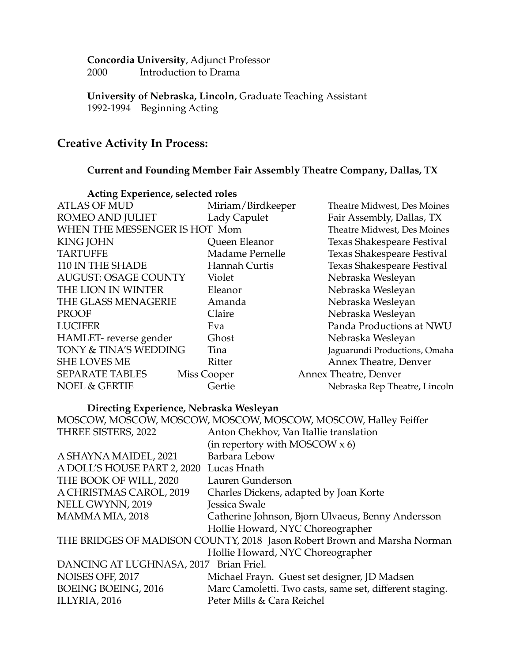**Concordia University**, Adjunct Professor 2000 Introduction to Drama

**University of Nebraska, Lincoln**, Graduate Teaching Assistant 1992-1994 Beginning Acting

# **Creative Activity In Process:**

#### **Current and Founding Member Fair Assembly Theatre Company, Dallas, TX**

| Acting Experience, selected roles |                   |                               |
|-----------------------------------|-------------------|-------------------------------|
| <b>ATLAS OF MUD</b>               | Miriam/Birdkeeper | Theatre Midwest, Des Moines   |
| ROMEO AND JULIET                  | Lady Capulet      | Fair Assembly, Dallas, TX     |
| WHEN THE MESSENGER IS HOT Mom     |                   | Theatre Midwest, Des Moines   |
| <b>KING JOHN</b>                  | Queen Eleanor     | Texas Shakespeare Festival    |
| <b>TARTUFFE</b>                   | Madame Pernelle   | Texas Shakespeare Festival    |
| 110 IN THE SHADE                  | Hannah Curtis     | Texas Shakespeare Festival    |
| <b>AUGUST: OSAGE COUNTY</b>       | Violet            | Nebraska Wesleyan             |
| THE LION IN WINTER                | Eleanor           | Nebraska Wesleyan             |
| THE GLASS MENAGERIE               | Amanda            | Nebraska Wesleyan             |
| PROOF                             | Claire            | Nebraska Wesleyan             |
| <b>LUCIFER</b>                    | Eva               | Panda Productions at NWU      |
| HAMLET-reverse gender             | Ghost             | Nebraska Wesleyan             |
| TONY & TINA'S WEDDING             | Tina              | Jaguarundi Productions, Omaha |
| <b>SHE LOVES ME</b>               | Ritter            | Annex Theatre, Denver         |
| <b>SEPARATE TABLES</b>            | Miss Cooper       | Annex Theatre, Denver         |
| <b>NOEL &amp; GERTIE</b>          | Gertie            | Nebraska Rep Theatre, Lincoln |

# **Acting Experience, selected roles**

# **Directing Experience, Nebraska Wesleyan**

|                                                                          | MOSCOW, MOSCOW, MOSCOW, MOSCOW, MOSCOW, MOSCOW, Halley Feiffer |  |  |
|--------------------------------------------------------------------------|----------------------------------------------------------------|--|--|
| THREE SISTERS, 2022                                                      | Anton Chekhov, Van Itallie translation                         |  |  |
|                                                                          | (in repertory with MOSCOW $x$ 6)                               |  |  |
| A SHAYNA MAIDEL, 2021                                                    | Barbara Lebow                                                  |  |  |
| A DOLL'S HOUSE PART 2, 2020 Lucas Hnath                                  |                                                                |  |  |
| THE BOOK OF WILL, 2020                                                   | Lauren Gunderson                                               |  |  |
| A CHRISTMAS CAROL, 2019                                                  | Charles Dickens, adapted by Joan Korte                         |  |  |
| NELL GWYNN, 2019                                                         | Jessica Swale                                                  |  |  |
| MAMMA MIA, 2018                                                          | Catherine Johnson, Bjorn Ulvaeus, Benny Andersson              |  |  |
|                                                                          | Hollie Howard, NYC Choreographer                               |  |  |
| THE BRIDGES OF MADISON COUNTY, 2018 Jason Robert Brown and Marsha Norman |                                                                |  |  |
| Hollie Howard, NYC Choreographer                                         |                                                                |  |  |
| DANCING AT LUGHNASA, 2017 Brian Friel.                                   |                                                                |  |  |
| NOISES OFF, 2017                                                         | Michael Frayn. Guest set designer, JD Madsen                   |  |  |
| <b>BOEING BOEING, 2016</b>                                               | Marc Camoletti. Two casts, same set, different staging.        |  |  |
| ILLYRIA, 2016                                                            | Peter Mills & Cara Reichel                                     |  |  |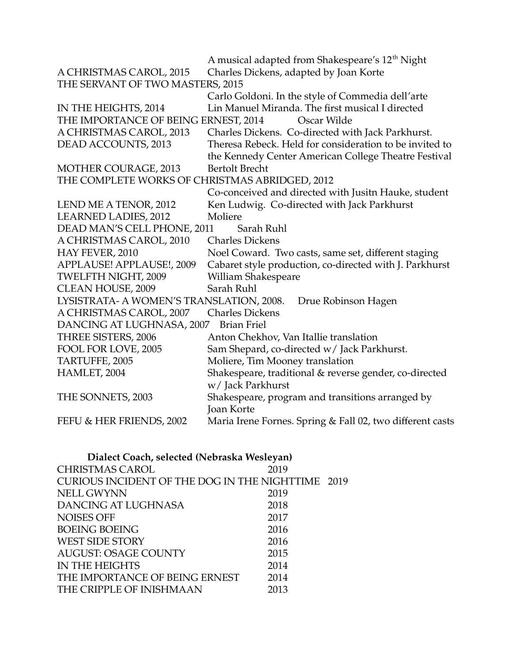|                                                | A musical adapted from Shakespeare's 12 <sup>th</sup> Night |
|------------------------------------------------|-------------------------------------------------------------|
| A CHRISTMAS CAROL, 2015                        | Charles Dickens, adapted by Joan Korte                      |
| THE SERVANT OF TWO MASTERS, 2015               |                                                             |
|                                                | Carlo Goldoni. In the style of Commedia dell'arte           |
| IN THE HEIGHTS, 2014                           | Lin Manuel Miranda. The first musical I directed            |
| THE IMPORTANCE OF BEING ERNEST, 2014           | Oscar Wilde                                                 |
| A CHRISTMAS CAROL, 2013                        | Charles Dickens. Co-directed with Jack Parkhurst.           |
| DEAD ACCOUNTS, 2013                            | Theresa Rebeck. Held for consideration to be invited to     |
|                                                | the Kennedy Center American College Theatre Festival        |
| MOTHER COURAGE, 2013                           | <b>Bertolt Brecht</b>                                       |
| THE COMPLETE WORKS OF CHRISTMAS ABRIDGED, 2012 |                                                             |
|                                                | Co-conceived and directed with Jusitn Hauke, student        |
| LEND ME A TENOR, 2012                          | Ken Ludwig. Co-directed with Jack Parkhurst                 |
| LEARNED LADIES, 2012                           | Moliere                                                     |
| DEAD MAN'S CELL PHONE, 2011                    | Sarah Ruhl                                                  |
| A CHRISTMAS CAROL, 2010                        | <b>Charles Dickens</b>                                      |
| HAY FEVER, 2010                                | Noel Coward. Two casts, same set, different staging         |
| APPLAUSE! APPLAUSE!, 2009                      | Cabaret style production, co-directed with J. Parkhurst     |
| TWELFTH NIGHT, 2009                            | William Shakespeare                                         |
| <b>CLEAN HOUSE, 2009</b>                       | Sarah Ruhl                                                  |
| LYSISTRATA- A WOMEN'S TRANSLATION, 2008.       | Drue Robinson Hagen                                         |
| A CHRISTMAS CAROL, 2007                        | <b>Charles Dickens</b>                                      |
| DANCING AT LUGHNASA, 2007                      | <b>Brian Friel</b>                                          |
| THREE SISTERS, 2006                            | Anton Chekhov, Van Itallie translation                      |
| FOOL FOR LOVE, 2005                            | Sam Shepard, co-directed w/ Jack Parkhurst.                 |
| TARTUFFE, 2005                                 | Moliere, Tim Mooney translation                             |
| HAMLET, 2004                                   | Shakespeare, traditional & reverse gender, co-directed      |
|                                                | w/ Jack Parkhurst                                           |
| THE SONNETS, 2003                              | Shakespeare, program and transitions arranged by            |
|                                                | Joan Korte                                                  |
| FEFU & HER FRIENDS, 2002                       | Maria Irene Fornes. Spring & Fall 02, two different casts   |

| Dialect Coach, selected (Nebraska Wesleyan)       |      |  |  |
|---------------------------------------------------|------|--|--|
| <b>CHRISTMAS CAROL</b>                            | 2019 |  |  |
| CURIOUS INCIDENT OF THE DOG IN THE NIGHTTIME 2019 |      |  |  |
| <b>NELL GWYNN</b>                                 | 2019 |  |  |
| DANCING AT LUGHNASA                               | 2018 |  |  |
| <b>NOISES OFF</b>                                 | 2017 |  |  |
| <b>BOEING BOEING</b>                              | 2016 |  |  |
| <b>WEST SIDE STORY</b>                            | 2016 |  |  |
| AUGUST: OSAGE COUNTY                              | 2015 |  |  |
| <b>IN THE HEIGHTS</b>                             | 2014 |  |  |
| THE IMPORTANCE OF BEING ERNEST                    | 2014 |  |  |
| THE CRIPPLE OF INISHMAAN                          | 2013 |  |  |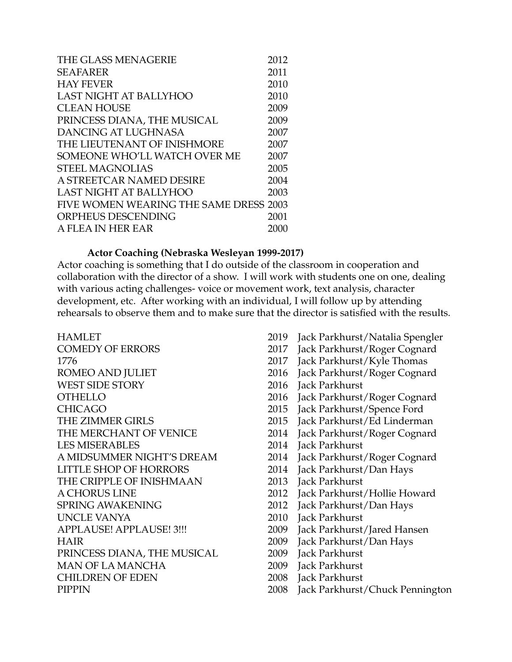| THE GLASS MENAGERIE                    | 2012 |
|----------------------------------------|------|
| <b>SEAFARER</b>                        | 2011 |
| <b>HAY FEVER</b>                       | 2010 |
| LAST NIGHT AT BALLYHOO                 | 2010 |
| <b>CLEAN HOUSE</b>                     | 2009 |
| PRINCESS DIANA, THE MUSICAL            | 2009 |
| <b>DANCING AT LUGHNASA</b>             | 2007 |
| THE LIEUTENANT OF INISHMORE            | 2007 |
| SOMEONE WHO'LL WATCH OVER ME           | 2007 |
| <b>STEEL MAGNOLIAS</b>                 | 2005 |
| A STREETCAR NAMED DESIRE               | 2004 |
| LAST NIGHT AT BALLYHOO                 | 2003 |
| FIVE WOMEN WEARING THE SAME DRESS 2003 |      |
| ORPHEUS DESCENDING                     | 2001 |
| A FLEA IN HER EAR                      | 2000 |

#### **Actor Coaching (Nebraska Wesleyan 1999-2017)**

Actor coaching is something that I do outside of the classroom in cooperation and collaboration with the director of a show. I will work with students one on one, dealing with various acting challenges- voice or movement work, text analysis, character development, etc. After working with an individual, I will follow up by attending rehearsals to observe them and to make sure that the director is satisfied with the results.

COMEDY OF ERRORS 2017 Jack Parkhurst/Roger Cognard 1776 2017 Jack Parkhurst/Kyle Thomas WEST SIDE STORY 2016 Jack Parkhurst CHICAGO 2015 Jack Parkhurst/Spence Ford THE ZIMMER GIRLS 2015 Jack Parkhurst/Ed Linderman THE MERCHANT OF VENICE 2014 Jack Parkhurst/Roger Cognard LES MISERABLES 2014 Jack Parkhurst A MIDSUMMER NIGHT'S DREAM 2014 Jack Parkhurst/Roger Cognard<br>LITTLE SHOP OF HORRORS 2014 Jack Parkhurst/Dan Hays THE CRIPPLE OF INISHMAAN 2013 Jack Parkhurst SPRING AWAKENING 2012 Jack Parkhurst/Dan Hays UNCLE VANYA 2010 Jack Parkhurst APPLAUSE! APPLAUSE! 3!!! 2009 Jack Parkhurst/Jared Hansen HAIR 2009 Jack Parkhurst/Dan Hays PRINCESS DIANA, THE MUSICAL 2009 Jack Parkhurst MAN OF LA MANCHA 2009 Jack Parkhurst CHILDREN OF EDEN 2008 Jack Parkhurst

- HAMLET 2019 Jack Parkhurst/Natalia Spengler
	-
	-
- ROMEO AND JULIET 2016 Jack Parkhurst/Roger Cognard
	-
- OTHELLO 2016 Jack Parkhurst/Roger Cognard
	-
	-
	-
	-
	-
	- 2014 Jack Parkhurst/Dan Hays
	-
- A CHORUS LINE 2012 Jack Parkhurst/Hollie Howard
	-
	-
	-
	-
	-
	-
	-
- PIPPIN 2008 Jack Parkhurst/Chuck Pennington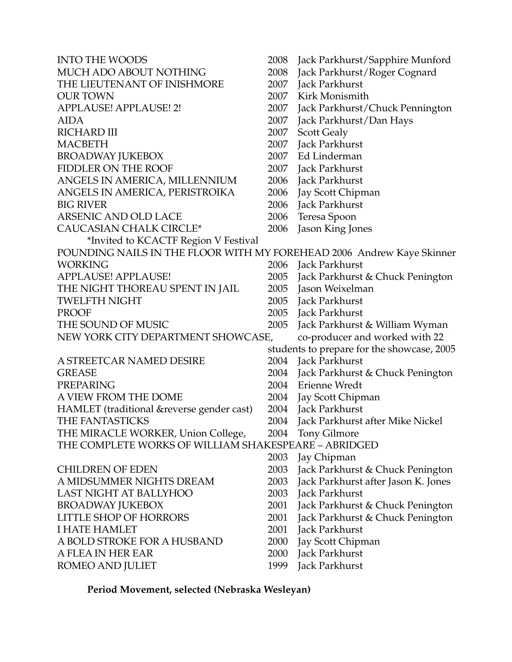| <b>INTO THE WOODS</b>                                                 | 2008 | Jack Parkhurst/Sapphire Munford            |
|-----------------------------------------------------------------------|------|--------------------------------------------|
| MUCH ADO ABOUT NOTHING                                                | 2008 | Jack Parkhurst/Roger Cognard               |
| THE LIEUTENANT OF INISHMORE                                           | 2007 | Jack Parkhurst                             |
| <b>OUR TOWN</b>                                                       | 2007 | Kirk Monismith                             |
| APPLAUSE! APPLAUSE! 2!                                                | 2007 | Jack Parkhurst/Chuck Pennington            |
| <b>AIDA</b>                                                           | 2007 | Jack Parkhurst/Dan Hays                    |
| <b>RICHARD III</b>                                                    | 2007 | Scott Gealy                                |
| <b>MACBETH</b>                                                        | 2007 | Jack Parkhurst                             |
| <b>BROADWAY JUKEBOX</b>                                               | 2007 | Ed Linderman                               |
| FIDDLER ON THE ROOF                                                   |      | 2007 Jack Parkhurst                        |
| ANGELS IN AMERICA, MILLENNIUM                                         | 2006 | Jack Parkhurst                             |
| ANGELS IN AMERICA, PERISTROIKA                                        | 2006 | Jay Scott Chipman                          |
| <b>BIG RIVER</b>                                                      | 2006 | Jack Parkhurst                             |
| <b>ARSENIC AND OLD LACE</b>                                           | 2006 | Teresa Spoon                               |
| <b>CAUCASIAN CHALK CIRCLE*</b>                                        | 2006 | Jason King Jones                           |
| *Invited to KCACTF Region V Festival                                  |      |                                            |
| POUNDING NAILS IN THE FLOOR WITH MY FOREHEAD 2006 Andrew Kaye Skinner |      |                                            |
| <b>WORKING</b>                                                        |      | 2006 Jack Parkhurst                        |
| APPLAUSE! APPLAUSE!                                                   |      | 2005 Jack Parkhurst & Chuck Penington      |
| THE NIGHT THOREAU SPENT IN JAIL                                       |      | 2005 Jason Weixelman                       |
| <b>TWELFTH NIGHT</b>                                                  |      | 2005 Jack Parkhurst                        |
| <b>PROOF</b>                                                          |      | 2005 Jack Parkhurst                        |
| THE SOUND OF MUSIC                                                    | 2005 | Jack Parkhurst & William Wyman             |
| NEW YORK CITY DEPARTMENT SHOWCASE,                                    |      | co-producer and worked with 22             |
|                                                                       |      | students to prepare for the showcase, 2005 |
|                                                                       |      |                                            |
| A STREETCAR NAMED DESIRE                                              | 2004 | Jack Parkhurst                             |
| <b>GREASE</b>                                                         |      | 2004 Jack Parkhurst & Chuck Penington      |
| PREPARING                                                             |      | 2004 Erienne Wredt                         |
| A VIEW FROM THE DOME                                                  | 2004 | Jay Scott Chipman                          |
| HAMLET (traditional & reverse gender cast)                            | 2004 | Jack Parkhurst                             |
| THE FANTASTICKS                                                       | 2004 | Jack Parkhurst after Mike Nickel           |
| THE MIRACLE WORKER, Union College,                                    | 2004 | Tony Gilmore                               |
| THE COMPLETE WORKS OF WILLIAM SHAKESPEARE - ABRIDGED                  |      |                                            |
|                                                                       | 2003 | Jay Chipman                                |
| <b>CHILDREN OF EDEN</b>                                               | 2003 | Jack Parkhurst & Chuck Penington           |
| A MIDSUMMER NIGHTS DREAM                                              | 2003 | Jack Parkhurst after Jason K. Jones        |
| LAST NIGHT AT BALLYHOO                                                | 2003 | Jack Parkhurst                             |
| <b>BROADWAY JUKEBOX</b>                                               | 2001 | Jack Parkhurst & Chuck Penington           |
| <b>LITTLE SHOP OF HORRORS</b>                                         | 2001 | Jack Parkhurst & Chuck Penington           |
| <b>I HATE HAMLET</b>                                                  | 2001 | Jack Parkhurst                             |
| A BOLD STROKE FOR A HUSBAND                                           | 2000 | Jay Scott Chipman                          |
| A FLEA IN HER EAR<br>ROMEO AND JULIET                                 | 2000 | Jack Parkhurst<br>Jack Parkhurst           |

**Period Movement, selected (Nebraska Wesleyan)**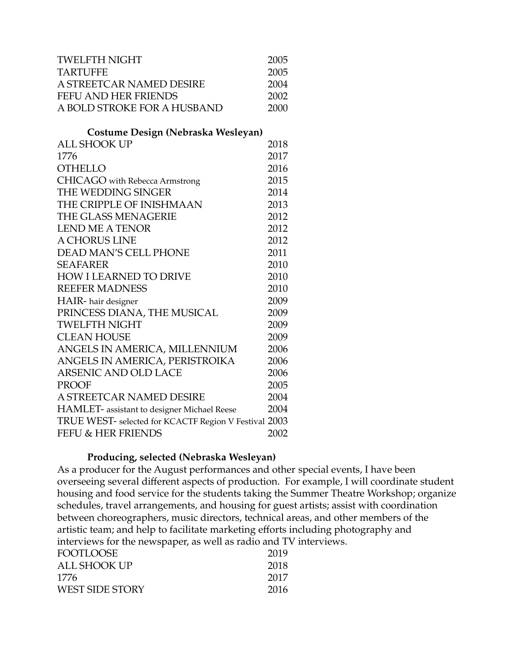| <b>TWELFTH NIGHT</b>                                  | 2005 |
|-------------------------------------------------------|------|
| <b>TARTUFFE</b>                                       | 2005 |
| A STREETCAR NAMED DESIRE                              | 2004 |
| <b>FEFU AND HER FRIENDS</b>                           | 2002 |
| A BOLD STROKE FOR A HUSBAND                           | 2000 |
| Costume Design (Nebraska Wesleyan)                    |      |
| <b>ALL SHOOK UP</b>                                   | 2018 |
| 1776                                                  | 2017 |
| <b>OTHELLO</b>                                        | 2016 |
| <b>CHICAGO</b> with Rebecca Armstrong                 | 2015 |
| THE WEDDING SINGER                                    | 2014 |
| THE CRIPPLE OF INISHMAAN                              | 2013 |
| THE GLASS MENAGERIE                                   | 2012 |
| <b>LEND ME A TENOR</b>                                | 2012 |
| A CHORUS LINE                                         | 2012 |
| <b>DEAD MAN'S CELL PHONE</b>                          | 2011 |
| <b>SEAFARER</b>                                       | 2010 |
| <b>HOW I LEARNED TO DRIVE</b>                         | 2010 |
| <b>REEFER MADNESS</b>                                 | 2010 |
| HAIR- hair designer                                   | 2009 |
| PRINCESS DIANA, THE MUSICAL                           | 2009 |
| <b>TWELFTH NIGHT</b>                                  | 2009 |
| <b>CLEAN HOUSE</b>                                    | 2009 |
| ANGELS IN AMERICA, MILLENNIUM                         | 2006 |
| ANGELS IN AMERICA, PERISTROIKA                        | 2006 |
| <b>ARSENIC AND OLD LACE</b>                           | 2006 |
| <b>PROOF</b>                                          | 2005 |
| A STREETCAR NAMED DESIRE                              | 2004 |
| HAMLET- assistant to designer Michael Reese           | 2004 |
| TRUE WEST- selected for KCACTF Region V Festival 2003 |      |
| FEFU & HER FRIENDS                                    | 2002 |

#### **Producing, selected (Nebraska Wesleyan)**

As a producer for the August performances and other special events, I have been overseeing several different aspects of production. For example, I will coordinate student housing and food service for the students taking the Summer Theatre Workshop; organize schedules, travel arrangements, and housing for guest artists; assist with coordination between choreographers, music directors, technical areas, and other members of the artistic team; and help to facilitate marketing efforts including photography and interviews for the newspaper, as well as radio and TV interviews.

| <b>FOOTLOOSE</b> | 2019 |
|------------------|------|
| ALL SHOOK UP     | 2018 |
| 1776             | 2017 |
| WEST SIDE STORY  | 2016 |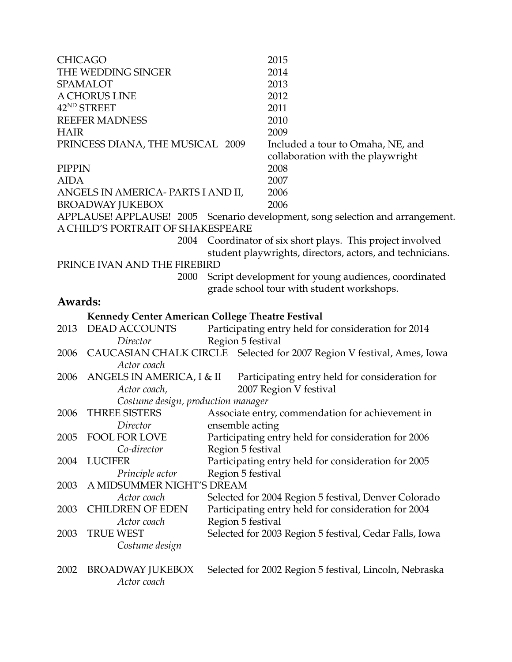| <b>CHICAGO</b> |                                                  |                   | 2015                                                                           |
|----------------|--------------------------------------------------|-------------------|--------------------------------------------------------------------------------|
|                | THE WEDDING SINGER                               |                   | 2014                                                                           |
|                | <b>SPAMALOT</b>                                  |                   | 2013                                                                           |
|                | A CHORUS LINE                                    |                   | 2012                                                                           |
|                | 42 <sup>ND</sup> STREET                          |                   | 2011                                                                           |
|                | <b>REEFER MADNESS</b>                            |                   | 2010                                                                           |
| <b>HAIR</b>    |                                                  |                   | 2009                                                                           |
|                | PRINCESS DIANA, THE MUSICAL 2009                 |                   | Included a tour to Omaha, NE, and                                              |
|                |                                                  |                   | collaboration with the playwright                                              |
| PIPPIN         |                                                  |                   | 2008                                                                           |
| <b>AIDA</b>    |                                                  |                   | 2007                                                                           |
|                | ANGELS IN AMERICA- PARTS I AND II,               |                   | 2006                                                                           |
|                | <b>BROADWAY JUKEBOX</b>                          |                   | 2006                                                                           |
|                |                                                  |                   | APPLAUSE! APPLAUSE! 2005 Scenario development, song selection and arrangement. |
|                | A CHILD'S PORTRAIT OF SHAKESPEARE                |                   |                                                                                |
|                |                                                  |                   | 2004 Coordinator of six short plays. This project involved                     |
|                |                                                  |                   | student playwrights, directors, actors, and technicians.                       |
|                | PRINCE IVAN AND THE FIREBIRD                     |                   |                                                                                |
|                | 2000                                             |                   | Script development for young audiences, coordinated                            |
|                |                                                  |                   | grade school tour with student workshops.                                      |
| Awards:        |                                                  |                   |                                                                                |
|                | Kennedy Center American College Theatre Festival |                   |                                                                                |
| 2013           | <b>DEAD ACCOUNTS</b>                             |                   | Participating entry held for consideration for 2014                            |
|                | Director                                         | Region 5 festival |                                                                                |
|                |                                                  |                   | 2006 CAUCASIAN CHALK CIRCLE Selected for 2007 Region V festival, Ames, Iowa    |
|                | Actor coach                                      |                   |                                                                                |
| 2006           | ANGELS IN AMERICA, I & II                        |                   | Participating entry held for consideration for                                 |
|                | Actor coach,                                     |                   | 2007 Region V festival                                                         |
|                | Costume design, production manager               |                   |                                                                                |
| 2006           | <b>THREE SISTERS</b>                             |                   | Associate entry, commendation for achievement in                               |
|                | Director                                         | ensemble acting   |                                                                                |
| 2005           | <b>FOOL FOR LOVE</b>                             |                   | Participating entry held for consideration for 2006                            |
|                | Co-director                                      | Region 5 festival |                                                                                |
| 2004           | <b>LUCIFER</b>                                   |                   | Participating entry held for consideration for 2005                            |
|                | Principle actor                                  | Region 5 festival |                                                                                |
| 2003           | A MIDSUMMER NIGHT'S DREAM                        |                   |                                                                                |
|                | Actor coach                                      |                   | Selected for 2004 Region 5 festival, Denver Colorado                           |
| 2003           | <b>CHILDREN OF EDEN</b>                          |                   | Participating entry held for consideration for 2004                            |
|                | Actor coach                                      | Region 5 festival |                                                                                |
| 2003           | <b>TRUE WEST</b>                                 |                   | Selected for 2003 Region 5 festival, Cedar Falls, Iowa                         |
|                | Costume design                                   |                   |                                                                                |
|                |                                                  |                   |                                                                                |
| 2002           | <b>BROADWAY JUKEBOX</b>                          |                   | Selected for 2002 Region 5 festival, Lincoln, Nebraska                         |
|                | Actor coach                                      |                   |                                                                                |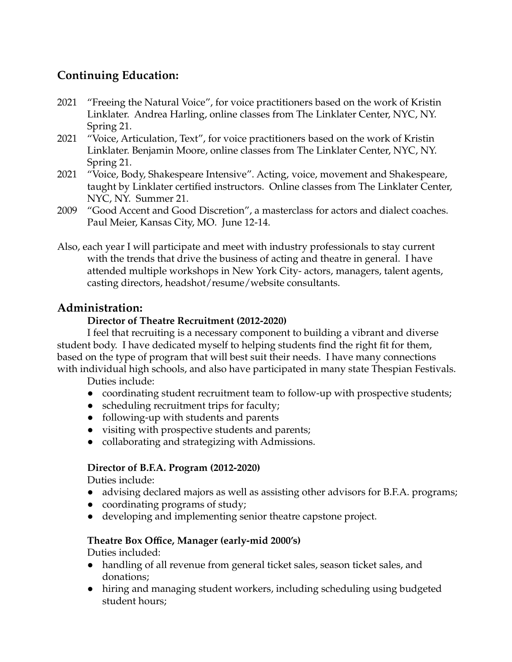# **Continuing Education:**

- 2021 "Freeing the Natural Voice", for voice practitioners based on the work of Kristin Linklater. Andrea Harling, online classes from The Linklater Center, NYC, NY. Spring 21.
- 2021 "Voice, Articulation, Text", for voice practitioners based on the work of Kristin Linklater. Benjamin Moore, online classes from The Linklater Center, NYC, NY. Spring 21.
- 2021 "Voice, Body, Shakespeare Intensive". Acting, voice, movement and Shakespeare, taught by Linklater certified instructors. Online classes from The Linklater Center, NYC, NY. Summer 21.
- 2009 "Good Accent and Good Discretion", a masterclass for actors and dialect coaches. Paul Meier, Kansas City, MO. June 12-14.
- Also, each year I will participate and meet with industry professionals to stay current with the trends that drive the business of acting and theatre in general. I have attended multiple workshops in New York City- actors, managers, talent agents, casting directors, headshot/resume/website consultants.

# **Administration:**

# **Director of Theatre Recruitment (2012-2020)**

I feel that recruiting is a necessary component to building a vibrant and diverse student body. I have dedicated myself to helping students find the right fit for them, based on the type of program that will best suit their needs. I have many connections with individual high schools, and also have participated in many state Thespian Festivals.

Duties include:

- coordinating student recruitment team to follow-up with prospective students;
- scheduling recruitment trips for faculty;
- following-up with students and parents
- visiting with prospective students and parents;
- collaborating and strategizing with Admissions.

# **Director of B.F.A. Program (2012-2020)**

Duties include:

- advising declared majors as well as assisting other advisors for B.F.A. programs;
- coordinating programs of study;
- developing and implementing senior theatre capstone project.

# **Theatre Box Office, Manager (early-mid 2000's)**

Duties included:

- handling of all revenue from general ticket sales, season ticket sales, and donations;
- hiring and managing student workers, including scheduling using budgeted student hours;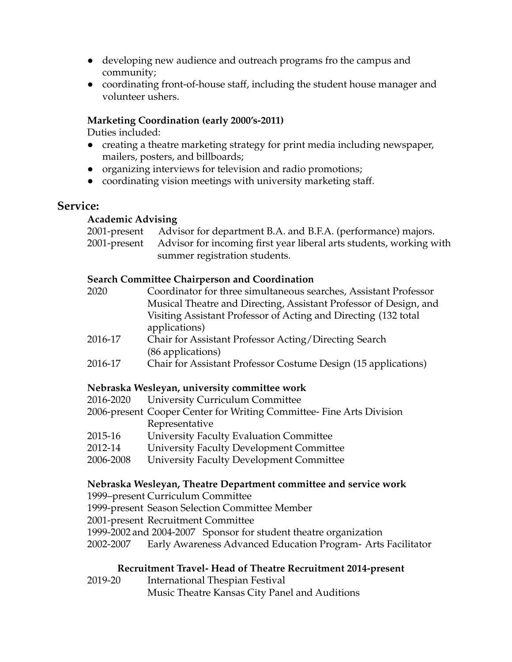- developing new audience and outreach programs fro the campus and community;
- coordinating front-of-house staff, including the student house manager and volunteer ushers.

### **Marketing Coordination (early 2000's-2011)**

Duties included:

- creating a theatre marketing strategy for print media including newspaper, mailers, posters, and billboards;
- organizing interviews for television and radio promotions;
- coordinating vision meetings with university marketing staff.

# **Service:**

### **Academic Advising**

2001-present Advisor for department B.A. and B.F.A. (performance) majors. 2001-present Advisor for incoming first year liberal arts students, working with summer registration students.

#### **Search Committee Chairperson and Coordination**

| 2020    | Coordinator for three simultaneous searches, Assistant Professor  |  |  |
|---------|-------------------------------------------------------------------|--|--|
|         | Musical Theatre and Directing, Assistant Professor of Design, and |  |  |
|         | Visiting Assistant Professor of Acting and Directing (132 total   |  |  |
|         | applications)                                                     |  |  |
| 2016-17 | Chair for Assistant Professor Acting/Directing Search             |  |  |
|         | (86 applications)                                                 |  |  |

2016-17 Chair for Assistant Professor Costume Design (15 applications)

### **Nebraska Wesleyan, university committee work**

| 2016-2020<br>University Curriculum Committee |  |
|----------------------------------------------|--|
|----------------------------------------------|--|

- 2006-present Cooper Center for Writing Committee- Fine Arts Division Representative
- 2015-16 University Faculty Evaluation Committee
- 2012-14 University Faculty Development Committee
- 2006-2008 University Faculty Development Committee

### **Nebraska Wesleyan, Theatre Department committee and service work**

1999–present Curriculum Committee

- 1999-present Season Selection Committee Member
- 2001-present Recruitment Committee
- 1999-2002 and 2004-2007 Sponsor for student theatre organization
- 2002-2007 Early Awareness Advanced Education Program- Arts Facilitator

### **Recruitment Travel- Head of Theatre Recruitment 2014-present**

2019-20 International Thespian Festival Music Theatre Kansas City Panel and Auditions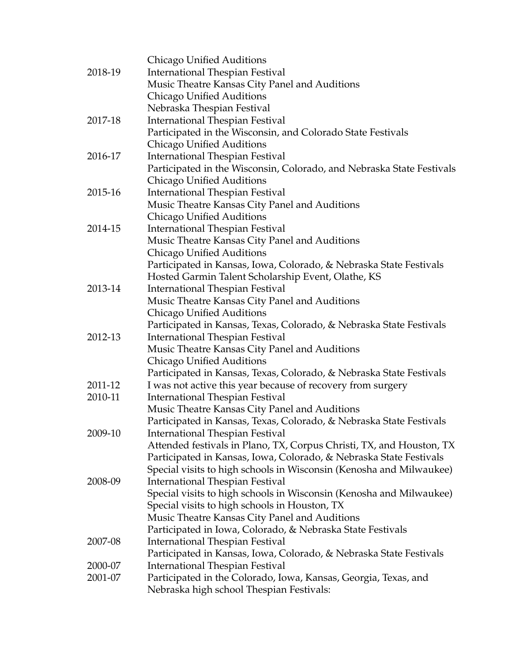|         | Chicago Unified Auditions                                             |
|---------|-----------------------------------------------------------------------|
| 2018-19 | <b>International Thespian Festival</b>                                |
|         | Music Theatre Kansas City Panel and Auditions                         |
|         | Chicago Unified Auditions                                             |
|         | Nebraska Thespian Festival                                            |
| 2017-18 | <b>International Thespian Festival</b>                                |
|         | Participated in the Wisconsin, and Colorado State Festivals           |
|         | Chicago Unified Auditions                                             |
| 2016-17 | <b>International Thespian Festival</b>                                |
|         | Participated in the Wisconsin, Colorado, and Nebraska State Festivals |
|         | Chicago Unified Auditions                                             |
| 2015-16 | <b>International Thespian Festival</b>                                |
|         | Music Theatre Kansas City Panel and Auditions                         |
|         | Chicago Unified Auditions                                             |
| 2014-15 | <b>International Thespian Festival</b>                                |
|         | Music Theatre Kansas City Panel and Auditions                         |
|         | Chicago Unified Auditions                                             |
|         | Participated in Kansas, Iowa, Colorado, & Nebraska State Festivals    |
|         | Hosted Garmin Talent Scholarship Event, Olathe, KS                    |
| 2013-14 | International Thespian Festival                                       |
|         | Music Theatre Kansas City Panel and Auditions                         |
|         | Chicago Unified Auditions                                             |
|         | Participated in Kansas, Texas, Colorado, & Nebraska State Festivals   |
| 2012-13 | <b>International Thespian Festival</b>                                |
|         | Music Theatre Kansas City Panel and Auditions                         |
|         | Chicago Unified Auditions                                             |
|         | Participated in Kansas, Texas, Colorado, & Nebraska State Festivals   |
| 2011-12 | I was not active this year because of recovery from surgery           |
| 2010-11 | <b>International Thespian Festival</b>                                |
|         | Music Theatre Kansas City Panel and Auditions                         |
|         | Participated in Kansas, Texas, Colorado, & Nebraska State Festivals   |
| 2009-10 | International Thespian Festival                                       |
|         | Attended festivals in Plano, TX, Corpus Christi, TX, and Houston, TX  |
|         | Participated in Kansas, Iowa, Colorado, & Nebraska State Festivals    |
|         | Special visits to high schools in Wisconsin (Kenosha and Milwaukee)   |
| 2008-09 | <b>International Thespian Festival</b>                                |
|         | Special visits to high schools in Wisconsin (Kenosha and Milwaukee)   |
|         | Special visits to high schools in Houston, TX                         |
|         | Music Theatre Kansas City Panel and Auditions                         |
|         | Participated in Iowa, Colorado, & Nebraska State Festivals            |
| 2007-08 | International Thespian Festival                                       |
|         | Participated in Kansas, Iowa, Colorado, & Nebraska State Festivals    |
| 2000-07 | International Thespian Festival                                       |
| 2001-07 | Participated in the Colorado, Iowa, Kansas, Georgia, Texas, and       |
|         | Nebraska high school Thespian Festivals:                              |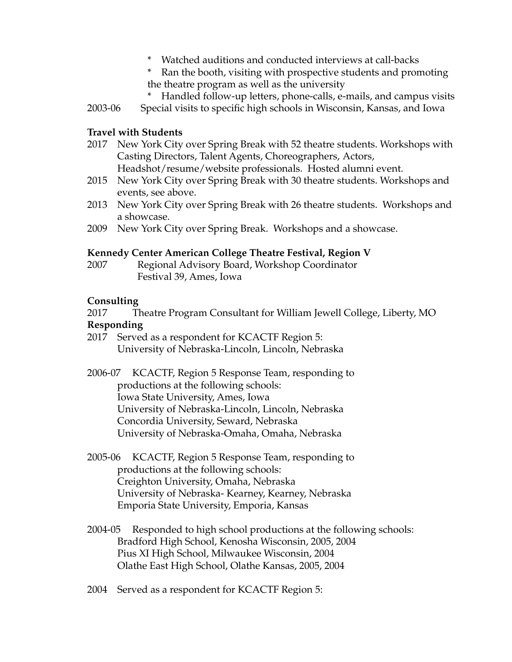- \* Watched auditions and conducted interviews at call-backs
- \* Ran the booth, visiting with prospective students and promoting the theatre program as well as the university
- Handled follow-up letters, phone-calls, e-mails, and campus visits 2003-06 Special visits to specific high schools in Wisconsin, Kansas, and Iowa

#### **Travel with Students**

- 2017 New York City over Spring Break with 52 theatre students. Workshops with Casting Directors, Talent Agents, Choreographers, Actors, Headshot/resume/website professionals. Hosted alumni event.
- 2015 New York City over Spring Break with 30 theatre students. Workshops and events, see above.
- 2013 New York City over Spring Break with 26 theatre students. Workshops and a showcase.
- 2009 New York City over Spring Break. Workshops and a showcase.

#### **Kennedy Center American College Theatre Festival, Region V**

2007 Regional Advisory Board, Workshop Coordinator Festival 39, Ames, Iowa

#### **Consulting**

2017 Theatre Program Consultant for William Jewell College, Liberty, MO

#### **Responding**

- 2017 Served as a respondent for KCACTF Region 5: University of Nebraska-Lincoln, Lincoln, Nebraska
- 2006-07 KCACTF, Region 5 Response Team, responding to productions at the following schools: Iowa State University, Ames, Iowa University of Nebraska-Lincoln, Lincoln, Nebraska Concordia University, Seward, Nebraska University of Nebraska-Omaha, Omaha, Nebraska
- 2005-06 KCACTF, Region 5 Response Team, responding to productions at the following schools: Creighton University, Omaha, Nebraska University of Nebraska- Kearney, Kearney, Nebraska Emporia State University, Emporia, Kansas
- 2004-05 Responded to high school productions at the following schools: Bradford High School, Kenosha Wisconsin, 2005, 2004 Pius XI High School, Milwaukee Wisconsin, 2004 Olathe East High School, Olathe Kansas, 2005, 2004
- 2004 Served as a respondent for KCACTF Region 5: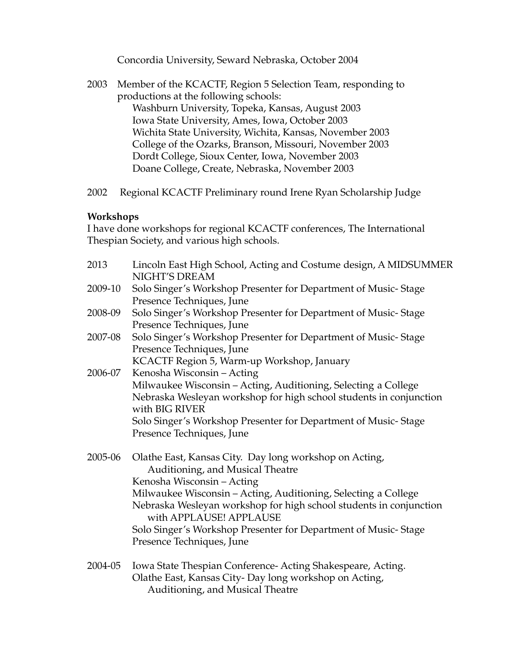Concordia University, Seward Nebraska, October 2004

- 2003 Member of the KCACTF, Region 5 Selection Team, responding to productions at the following schools: Washburn University, Topeka, Kansas, August 2003 Iowa State University, Ames, Iowa, October 2003 Wichita State University, Wichita, Kansas, November 2003 College of the Ozarks, Branson, Missouri, November 2003 Dordt College, Sioux Center, Iowa, November 2003 Doane College, Create, Nebraska, November 2003
- 2002 Regional KCACTF Preliminary round Irene Ryan Scholarship Judge

#### **Workshops**

I have done workshops for regional KCACTF conferences, The International Thespian Society, and various high schools.

| 2013    | Lincoln East High School, Acting and Costume design, A MIDSUMMER                                                                    |
|---------|-------------------------------------------------------------------------------------------------------------------------------------|
|         | NIGHT'S DREAM                                                                                                                       |
| 2009-10 | Solo Singer's Workshop Presenter for Department of Music-Stage                                                                      |
|         | Presence Techniques, June                                                                                                           |
| 2008-09 | Solo Singer's Workshop Presenter for Department of Music-Stage                                                                      |
|         | Presence Techniques, June                                                                                                           |
| 2007-08 | Solo Singer's Workshop Presenter for Department of Music-Stage                                                                      |
|         | Presence Techniques, June                                                                                                           |
|         | KCACTF Region 5, Warm-up Workshop, January                                                                                          |
| 2006-07 | Kenosha Wisconsin - Acting                                                                                                          |
|         | Milwaukee Wisconsin - Acting, Auditioning, Selecting a College                                                                      |
|         | Nebraska Wesleyan workshop for high school students in conjunction<br>with BIG RIVER                                                |
|         | Solo Singer's Workshop Presenter for Department of Music-Stage                                                                      |
|         | Presence Techniques, June                                                                                                           |
| 2005-06 | Olathe East, Kansas City. Day long workshop on Acting,<br>Auditioning, and Musical Theatre                                          |
|         | Kenosha Wisconsin - Acting                                                                                                          |
|         | Milwaukee Wisconsin - Acting, Auditioning, Selecting a College                                                                      |
|         | Nebraska Wesleyan workshop for high school students in conjunction<br>with APPLAUSE! APPLAUSE                                       |
|         | Solo Singer's Workshop Presenter for Department of Music-Stage                                                                      |
|         | Presence Techniques, June                                                                                                           |
| 0.00107 | $\mathbf{r}$ and $\mathbf{r}$ and $\mathbf{r}$ and $\mathbf{r}$ and $\mathbf{r}$ and $\mathbf{r}$ and $\mathbf{r}$ and $\mathbf{r}$ |

2004-05 Iowa State Thespian Conference- Acting Shakespeare, Acting. Olathe East, Kansas City- Day long workshop on Acting, Auditioning, and Musical Theatre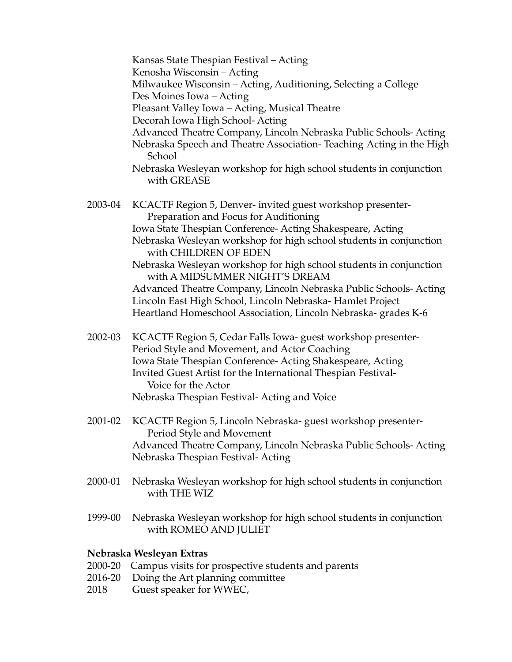Kansas State Thespian Festival – Acting Kenosha Wisconsin – Acting Milwaukee Wisconsin – Acting, Auditioning, Selecting a College Des Moines Iowa – Acting Pleasant Valley Iowa – Acting, Musical Theatre Decorah Iowa High School- Acting Advanced Theatre Company, Lincoln Nebraska Public Schools- Acting Nebraska Speech and Theatre Association- Teaching Acting in the High School Nebraska Wesleyan workshop for high school students in conjunction with GREASE 2003-04 KCACTF Region 5, Denver- invited guest workshop presenter-Preparation and Focus for Auditioning Iowa State Thespian Conference- Acting Shakespeare, Acting Nebraska Wesleyan workshop for high school students in conjunction with CHILDREN OF EDEN Nebraska Wesleyan workshop for high school students in conjunction with A MIDSUMMER NIGHT'S DREAM Advanced Theatre Company, Lincoln Nebraska Public Schools- Acting Lincoln East High School, Lincoln Nebraska- Hamlet Project Heartland Homeschool Association, Lincoln Nebraska- grades K-6 2002-03 KCACTF Region 5, Cedar Falls Iowa- guest workshop presenter-Period Style and Movement, and Actor Coaching Iowa State Thespian Conference- Acting Shakespeare, Acting Invited Guest Artist for the International Thespian Festival-Voice for the Actor Nebraska Thespian Festival- Acting and Voice 2001-02 KCACTF Region 5, Lincoln Nebraska- guest workshop presenter-Period Style and Movement Advanced Theatre Company, Lincoln Nebraska Public Schools- Acting Nebraska Thespian Festival- Acting

- 2000-01 Nebraska Wesleyan workshop for high school students in conjunction with THE WIZ
- 1999-00 Nebraska Wesleyan workshop for high school students in conjunction with ROMEO AND JULIET

#### **Nebraska Wesleyan Extras**

- 2000-20 Campus visits for prospective students and parents
- 2016-20 Doing the Art planning committee
- 2018 Guest speaker for WWEC,